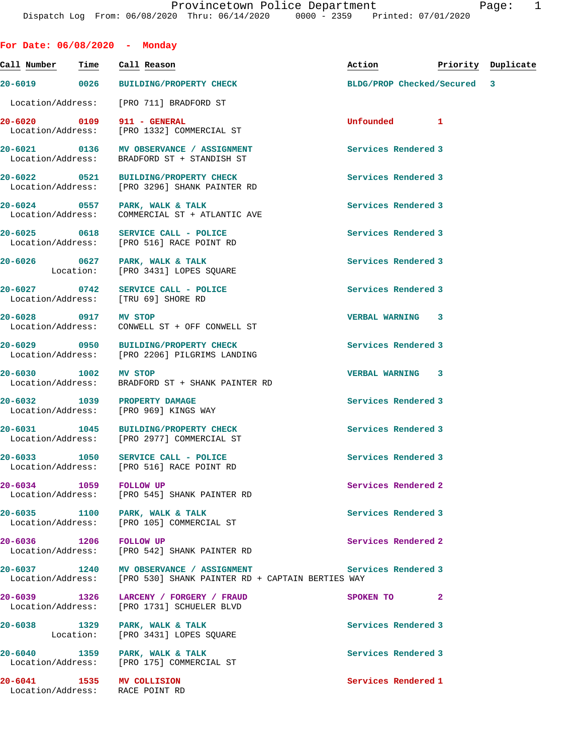**For Date: 06/08/2020 - Monday Call Number Time Call Reason Action Priority Duplicate 20-6019 0026 BUILDING/PROPERTY CHECK BLDG/PROP Checked/Secured 3** Location/Address: [PRO 711] BRADFORD ST **20-6020 0109 911 - GENERAL Unfounded 1**  [PRO 1332] COMMERCIAL ST **20-6021 0136 MV OBSERVANCE / ASSIGNMENT Services Rendered 3**  Location/Address: BRADFORD ST + STANDISH ST **20-6022 0521 BUILDING/PROPERTY CHECK Services Rendered 3**  Location/Address: [PRO 3296] SHANK PAINTER RD **20-6024 0557 PARK, WALK & TALK Services Rendered 3**  Location/Address: COMMERCIAL ST + ATLANTIC AVE **20-6025 0618 SERVICE CALL - POLICE Services Rendered 3**  Location/Address: [PRO 516] RACE POINT RD 20-6026 0627 PARK, WALK & TALK **Depart of Services Rendered 3**<br>
Location: [PRO 3431] LOPES SQUARE [PRO 3431] LOPES SQUARE **20-6027 0742 SERVICE CALL - POLICE Services Rendered 3**  Location/Address: [TRU 69] SHORE RD **20-6028 0917 MV STOP VERBAL WARNING 3**  Location/Address: CONWELL ST + OFF CONWELL ST **20-6029 0950 BUILDING/PROPERTY CHECK Services Rendered 3**  Location/Address: [PRO 2206] PILGRIMS LANDING **20-6030 1002 MV STOP VERBAL WARNING 3**  Location/Address: BRADFORD ST + SHANK PAINTER RD **20-6032 1039 PROPERTY DAMAGE Services Rendered 3**  Location/Address: **20-6031 1045 BUILDING/PROPERTY CHECK Services Rendered 3**  Location/Address: [PRO 2977] COMMERCIAL ST **20-6033 1050 SERVICE CALL - POLICE Services Rendered 3**  Location/Address: [PRO 516] RACE POINT RD **20-6034 1059 FOLLOW UP Services Rendered 2**  Location/Address: [PRO 545] SHANK PAINTER RD 20-6035 1100 PARK, WALK & TALK **PARK, Services Rendered 3**<br>
Location/Address: [PRO 105] COMMERCIAL ST [PRO 105] COMMERCIAL ST **20-6036 1206 FOLLOW UP Services Rendered 2**  Location/Address: [PRO 542] SHANK PAINTER RD **20-6037 1240 MV OBSERVANCE / ASSIGNMENT Services Rendered 3**  Location/Address: [PRO 530] SHANK PAINTER RD + CAPTAIN BERTIES WAY **20-6039 1326 LARCENY / FORGERY / FRAUD SPOKEN TO 2**  Location/Address: [PRO 1731] SCHUELER BLVD **20-6038 1329 PARK, WALK & TALK Services Rendered 3**  Location: [PRO 3431] LOPES SQUARE 20-6040 1359 PARK, WALK & TALK **Services Rendered 3**  Location/Address: [PRO 175] COMMERCIAL ST **20-6041 1535 MV COLLISION Services Rendered 1**  Location/Address: RACE POINT RD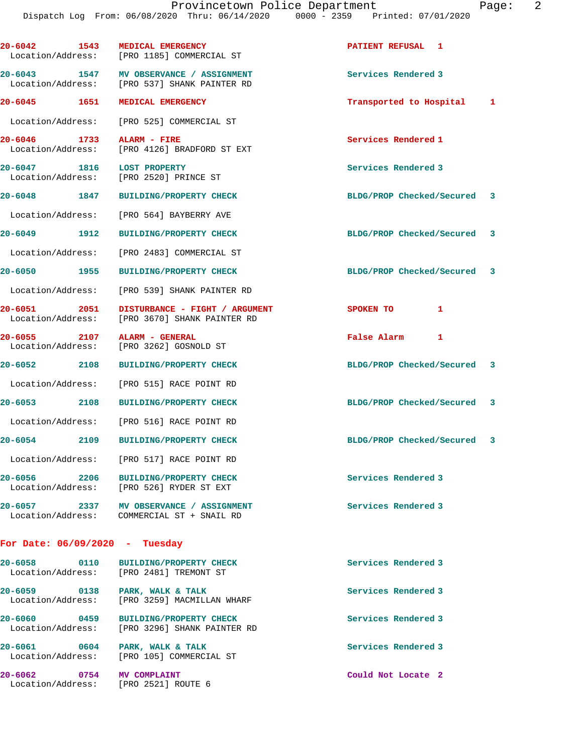| 20-6042 1543 MEDICAL EMERGENCY    | Location/Address: [PRO 1185] COMMERCIAL ST                                              | <b>PATIENT REFUSAL 1</b>    |  |
|-----------------------------------|-----------------------------------------------------------------------------------------|-----------------------------|--|
|                                   | 20-6043 1547 MV OBSERVANCE / ASSIGNMENT<br>Location/Address: [PRO 537] SHANK PAINTER RD | Services Rendered 3         |  |
| 20-6045 1651 MEDICAL EMERGENCY    |                                                                                         | Transported to Hospital 1   |  |
|                                   | Location/Address: [PRO 525] COMMERCIAL ST                                               |                             |  |
| 20-6046 1733<br>Location/Address: | ALARM - FIRE<br>[PRO 4126] BRADFORD ST EXT                                              | Services Rendered 1         |  |
| 20-6047 1816                      | <b>LOST PROPERTY</b><br>Location/Address: [PRO 2520] PRINCE ST                          | Services Rendered 3         |  |
|                                   | 20-6048 1847 BUILDING/PROPERTY CHECK                                                    | BLDG/PROP Checked/Secured 3 |  |
|                                   | Location/Address: [PRO 564] BAYBERRY AVE                                                |                             |  |
| 20-6049 1912                      | <b>BUILDING/PROPERTY CHECK</b>                                                          | BLDG/PROP Checked/Secured 3 |  |
|                                   | Location/Address: [PRO 2483] COMMERCIAL ST                                              |                             |  |
| 20-6050 1955                      | BUILDING/PROPERTY CHECK                                                                 | BLDG/PROP Checked/Secured 3 |  |
| Location/Address:                 | [PRO 539] SHANK PAINTER RD                                                              |                             |  |
| 20-6051 2051                      | DISTURBANCE - FIGHT / ARGUMENT<br>Location/Address: [PRO 3670] SHANK PAINTER RD         | SPOKEN TO<br>1              |  |
| 20-6055 2107 ALARM - GENERAL      | Location/Address: [PRO 3262] GOSNOLD ST                                                 | False Alarm 1               |  |
| 20-6052 2108                      | <b>BUILDING/PROPERTY CHECK</b>                                                          | BLDG/PROP Checked/Secured 3 |  |
|                                   | Location/Address: [PRO 515] RACE POINT RD                                               |                             |  |
| 20-6053 2108                      | <b>BUILDING/PROPERTY CHECK</b>                                                          | BLDG/PROP Checked/Secured 3 |  |
|                                   | Location/Address: [PRO 516] RACE POINT RD                                               |                             |  |
| 20-6054 2109                      | BUILDING/PROPERTY CHECK                                                                 | BLDG/PROP Checked/Secured 3 |  |
|                                   | Location/Address: [PRO 517] RACE POINT RD                                               |                             |  |
| 20-6056 2206                      | BUILDING/PROPERTY CHECK<br>Location/Address: [PRO 526] RYDER ST EXT                     | Services Rendered 3         |  |
|                                   |                                                                                         |                             |  |

20-6057 2337 MV OBSERVANCE / ASSIGNMENT **Services Rendered 3** Location/Address: COMMERCIAL ST + SNAIL RD

## **For Date: 06/09/2020 - Tuesday**

| 20-6058<br>Location/Address: | 0110 | <b>BUILDING/PROPERTY CHECK</b><br>[PRO 2481] TREMONT ST       | Services Rendered 3 |
|------------------------------|------|---------------------------------------------------------------|---------------------|
| 20-6059<br>Location/Address: | 0138 | PARK, WALK & TALK<br>[PRO 3259] MACMILLAN WHARF               | Services Rendered 3 |
| 20-6060<br>Location/Address: | 0459 | <b>BUILDING/PROPERTY CHECK</b><br>[PRO 3296] SHANK PAINTER RD | Services Rendered 3 |
| 20-6061<br>Location/Address: | 0604 | PARK, WALK & TALK<br>FRO 1051 COMMERCIAL ST                   | Services Rendered 3 |

Location/Address: [PRO 2521] ROUTE 6

**20-6062 0754 MV COMPLAINT Could Not Locate 2**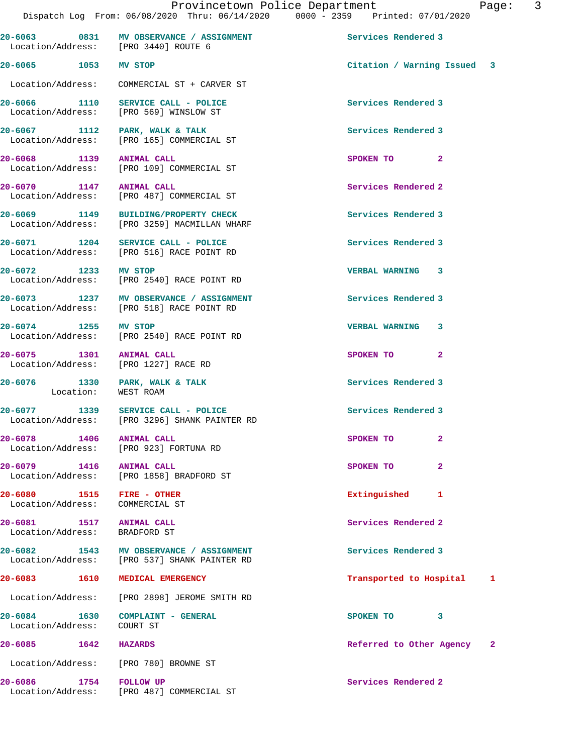| ъ<br>a |  |  |
|--------|--|--|
|        |  |  |

| Location/Address: [PRO 3440] ROUTE 6                             | 20-6063 0831 MV OBSERVANCE / ASSIGNMENT                                                 | Services Rendered 3           |
|------------------------------------------------------------------|-----------------------------------------------------------------------------------------|-------------------------------|
| 20-6065 1053 MV STOP                                             |                                                                                         | Citation / Warning Issued 3   |
|                                                                  | Location/Address: COMMERCIAL ST + CARVER ST                                             |                               |
|                                                                  | 20-6066 1110 SERVICE CALL - POLICE<br>Location/Address: [PRO 569] WINSLOW ST            | Services Rendered 3           |
|                                                                  | 20-6067 1112 PARK, WALK & TALK<br>Location/Address: [PRO 165] COMMERCIAL ST             | Services Rendered 3           |
| 20-6068 1139 ANIMAL CALL                                         | Location/Address: [PRO 109] COMMERCIAL ST                                               | SPOKEN TO<br>$\mathbf{2}$     |
| 20-6070 1147 ANIMAL CALL                                         | Location/Address: [PRO 487] COMMERCIAL ST                                               | Services Rendered 2           |
|                                                                  | 20-6069 1149 BUILDING/PROPERTY CHECK<br>Location/Address: [PRO 3259] MACMILLAN WHARF    | Services Rendered 3           |
|                                                                  | 20-6071 1204 SERVICE CALL - POLICE<br>Location/Address: [PRO 516] RACE POINT RD         | Services Rendered 3           |
| 20-6072 1233 MV STOP                                             | Location/Address: [PRO 2540] RACE POINT RD                                              | VERBAL WARNING 3              |
|                                                                  | 20-6073 1237 MV OBSERVANCE / ASSIGNMENT<br>Location/Address: [PRO 518] RACE POINT RD    | Services Rendered 3           |
|                                                                  | 20-6074 1255 MV STOP<br>Location/Address: [PRO 2540] RACE POINT RD                      | <b>VERBAL WARNING 3</b>       |
| 20-6075 1301 ANIMAL CALL<br>Location/Address: [PRO 1227] RACE RD |                                                                                         | SPOKEN TO<br>$\mathbf{2}$     |
|                                                                  | 20-6076 1330 PARK, WALK & TALK<br>Location: WEST ROAM                                   | Services Rendered 3           |
|                                                                  | 20-6077 1339 SERVICE CALL - POLICE<br>Location/Address: [PRO 3296] SHANK PAINTER RD     | Services Rendered 3           |
| 20-6078 1406 ANIMAL CALL                                         | Location/Address: [PRO 923] FORTUNA RD                                                  | SPOKEN TO<br>$\mathbf{2}$     |
| 20-6079 1416                                                     | <b>ANIMAL CALL</b><br>Location/Address: [PRO 1858] BRADFORD ST                          | $\mathbf{2}$<br>SPOKEN TO     |
| 20-6080 1515 FIRE - OTHER<br>Location/Address: COMMERCIAL ST     |                                                                                         | Extinguished<br>1             |
| 20-6081<br>Location/Address: BRADFORD ST                         | 1517 ANIMAL CALL                                                                        | Services Rendered 2           |
|                                                                  | 20-6082 1543 MV OBSERVANCE / ASSIGNMENT<br>Location/Address: [PRO 537] SHANK PAINTER RD | Services Rendered 3           |
| 20-6083 1610 MEDICAL EMERGENCY                                   |                                                                                         | Transported to Hospital<br>1  |
|                                                                  | Location/Address: [PRO 2898] JEROME SMITH RD                                            |                               |
| Location/Address: COURT ST                                       | 20-6084 1630 COMPLAINT - GENERAL                                                        | 3<br>SPOKEN TO                |
| 20-6085 1642 HAZARDS                                             |                                                                                         | Referred to Other Agency<br>2 |
|                                                                  | Location/Address: [PRO 780] BROWNE ST                                                   |                               |
| 1754 FOLLOW UP<br>20-6086                                        | Location/Address: [PRO 487] COMMERCIAL ST                                               | Services Rendered 2           |
|                                                                  |                                                                                         |                               |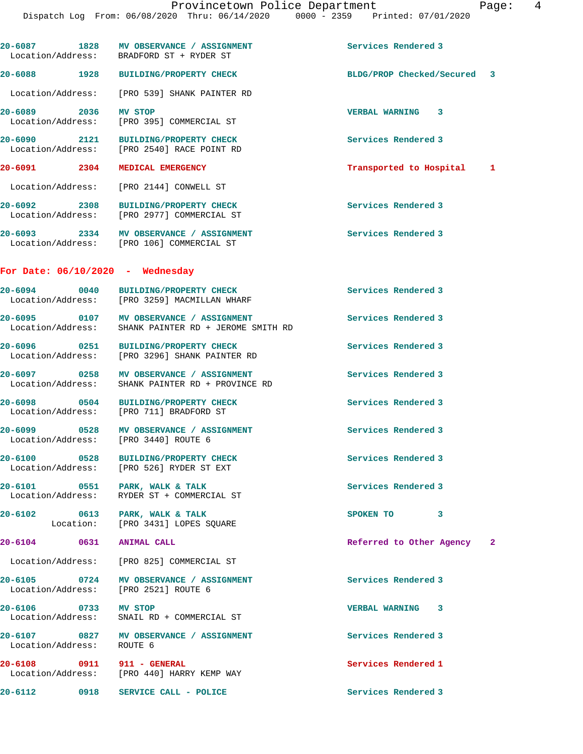20-6087 1828 MV OBSERVANCE / ASSIGNMENT **Services Rendered 3**  Location/Address: BRADFORD ST + RYDER ST **20-6088 1928 BUILDING/PROPERTY CHECK BLDG/PROP Checked/Secured 3** Location/Address: [PRO 539] SHANK PAINTER RD **20-6089 2036 MV STOP VERBAL WARNING 3**  Location/Address: [PRO 395] COMMERCIAL ST **20-6090 2121 BUILDING/PROPERTY CHECK Services Rendered 3**  Location/Address: [PRO 2540] RACE POINT RD **20-6091 2304 MEDICAL EMERGENCY Transported to Hospital 1** Location/Address: [PRO 2144] CONWELL ST **20-6092 2308 BUILDING/PROPERTY CHECK Services Rendered 3**  Location/Address: [PRO 2977] COMMERCIAL ST **20-6093 2334 MV OBSERVANCE / ASSIGNMENT Services Rendered 3**  Location/Address: [PRO 106] COMMERCIAL ST **For Date: 06/10/2020 - Wednesday 20-6094 0040 BUILDING/PROPERTY CHECK Services Rendered 3**  [PRO 3259] MACMILLAN WHARF 20-6095 0107 MV OBSERVANCE / ASSIGNMENT **Services Rendered 3**  Location/Address: SHANK PAINTER RD + JEROME SMITH RD **20-6096 0251 BUILDING/PROPERTY CHECK Services Rendered 3**  Location/Address: [PRO 3296] SHANK PAINTER RD **20-6097 0258 MV OBSERVANCE / ASSIGNMENT Services Rendered 3**  Location/Address: SHANK PAINTER RD + PROVINCE RD 20-6098 0504 BUILDING/PROPERTY CHECK **Services** Rendered 3 Location/Address: [PRO 711] BRADFORD ST **20-6099 0528 MV OBSERVANCE / ASSIGNMENT Services Rendered 3**  Location/Address: [PRO 3440] ROUTE 6 **20-6100 0528 BUILDING/PROPERTY CHECK Services Rendered 3**  Location/Address: [PRO 526] RYDER ST EXT **20-6101 0551 PARK, WALK & TALK Services Rendered 3**  RYDER ST + COMMERCIAL ST 20-6102 0613 PARK, WALK & TALK 3<br>
Location: [PRO 3431] LOPES SOUARE SOUARE [PRO 3431] LOPES SQUARE **20-6104 0631 ANIMAL CALL Referred to Other Agency 2** Location/Address: [PRO 825] COMMERCIAL ST **20-6105 0724 MV OBSERVANCE / ASSIGNMENT Services Rendered 3**  Location/Address: [PRO 2521] ROUTE 6 **20-6106 0733 MV STOP VERBAL WARNING 3**  Location/Address: SNAIL RD + COMMERCIAL ST **20-6107 0827 MV OBSERVANCE / ASSIGNMENT Services Rendered 3**  Location/Address: ROUTE 6 **20-6108** 0911 911 - GENERAL 20-6108 Services Rendered 1 Location/Address: [PRO 440] HARRY KEMP WAY [PRO 440] HARRY KEMP WAY **20-6112 0918 SERVICE CALL - POLICE Services Rendered 3**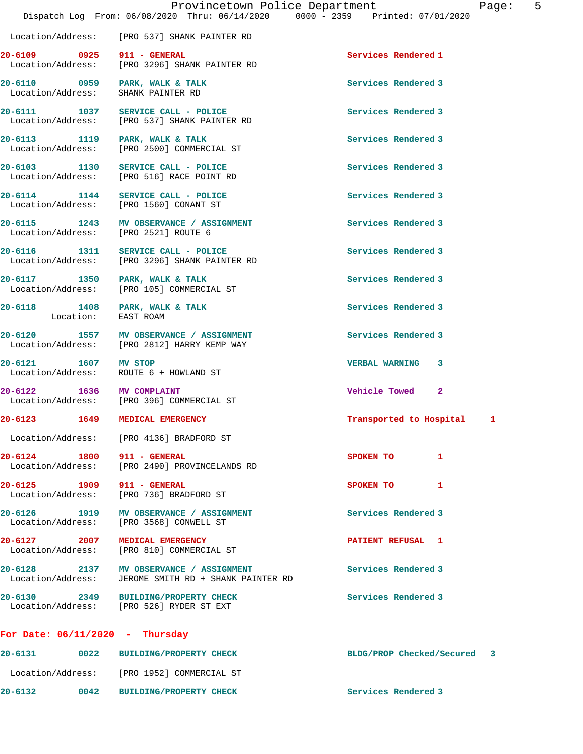|                                                                      | Location/Address: [PRO 537] SHANK PAINTER RD                                           |                              |
|----------------------------------------------------------------------|----------------------------------------------------------------------------------------|------------------------------|
|                                                                      | 20-6109 0925 911 - GENERAL<br>Location/Address: [PRO 3296] SHANK PAINTER RD            | Services Rendered 1          |
| 20-6110 0959 PARK, WALK & TALK<br>Location/Address: SHANK PAINTER RD |                                                                                        | Services Rendered 3          |
|                                                                      | 20-6111 1037 SERVICE CALL - POLICE<br>Location/Address: [PRO 537] SHANK PAINTER RD     | Services Rendered 3          |
|                                                                      | 20-6113 1119 PARK, WALK & TALK<br>Location/Address: [PRO 2500] COMMERCIAL ST           | Services Rendered 3          |
|                                                                      | 20-6103 1130 SERVICE CALL - POLICE<br>Location/Address: [PRO 516] RACE POINT RD        | Services Rendered 3          |
|                                                                      | 20-6114 1144 SERVICE CALL - POLICE<br>Location/Address: [PRO 1560] CONANT ST           | Services Rendered 3          |
| Location/Address: [PRO 2521] ROUTE 6                                 | 20-6115 1243 MV OBSERVANCE / ASSIGNMENT                                                | Services Rendered 3          |
|                                                                      | 20-6116 1311 SERVICE CALL - POLICE<br>Location/Address: [PRO 3296] SHANK PAINTER RD    | Services Rendered 3          |
| 20-6117 1350 PARK, WALK & TALK                                       | Location/Address: [PRO 105] COMMERCIAL ST                                              | Services Rendered 3          |
| Location:                                                            | 20-6118 1408 PARK, WALK & TALK<br>EAST ROAM                                            | Services Rendered 3          |
|                                                                      | 20-6120 1557 MV OBSERVANCE / ASSIGNMENT<br>Location/Address: [PRO 2812] HARRY KEMP WAY | Services Rendered 3          |
|                                                                      | 20-6121 1607 MV STOP<br>Location/Address: ROUTE 6 + HOWLAND ST                         | VERBAL WARNING 3             |
| 20-6122 1636 MV COMPLAINT                                            | Location/Address: [PRO 396] COMMERCIAL ST                                              | Vehicle Towed 2              |
| 20-6123 1649 MEDICAL EMERGENCY                                       |                                                                                        | Transported to Hospital<br>1 |
|                                                                      | Location/Address: [PRO 4136] BRADFORD ST                                               |                              |
| 20-6124 1800 911 - GENERAL                                           | Location/Address: [PRO 2490] PROVINCELANDS RD                                          | SPOKEN TO<br>$\mathbf{1}$    |
| 20-6125 1909 911 - GENERAL                                           | Location/Address: [PRO 736] BRADFORD ST                                                | SPOKEN TO<br>1               |
|                                                                      | 20-6126 1919 MV OBSERVANCE / ASSIGNMENT<br>Location/Address: [PRO 3568] CONWELL ST     | Services Rendered 3          |
| 20-6127 2007                                                         | MEDICAL EMERGENCY<br>Location/Address: [PRO 810] COMMERCIAL ST                         | PATIENT REFUSAL 1            |
| Location/Address:                                                    | 20-6128 2137 MV OBSERVANCE / ASSIGNMENT<br>JEROME SMITH RD + SHANK PAINTER RD          | Services Rendered 3          |
| 20-6130 2349<br>Location/Address:                                    | <b>BUILDING/PROPERTY CHECK</b><br>[PRO 526] RYDER ST EXT                               | Services Rendered 3          |

## **For Date: 06/11/2020 - Thursday**

| $20 - 6131$       | 0022 | BUILDING/PROPERTY CHECK        | BLDG/PROP Checked/Secured | - 3 |
|-------------------|------|--------------------------------|---------------------------|-----|
| Location/Address: |      | [PRO 1952] COMMERCIAL ST       |                           |     |
| $20 - 6132$       | 0042 | <b>BUILDING/PROPERTY CHECK</b> | Services Rendered 3       |     |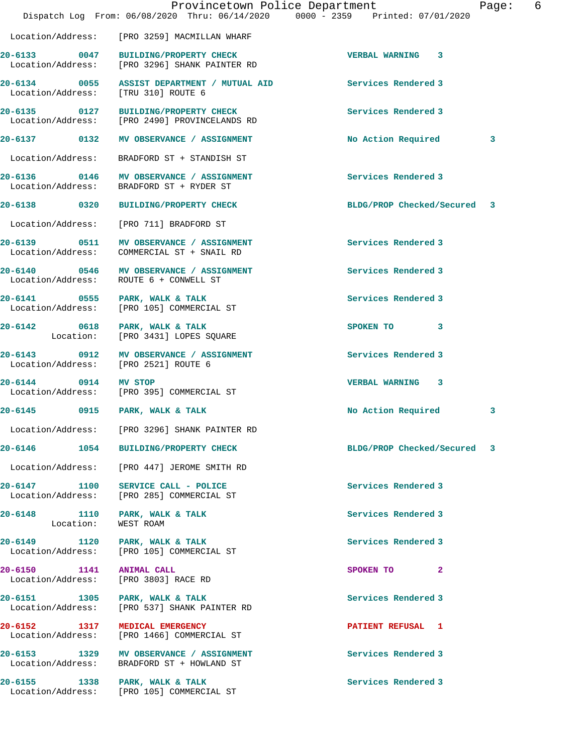|                                                                  | Provincetown Police Department<br>Dispatch Log From: 06/08/2020 Thru: 06/14/2020 0000 - 2359 Printed: 07/01/2020 |                             | Page: | 6 |
|------------------------------------------------------------------|------------------------------------------------------------------------------------------------------------------|-----------------------------|-------|---|
|                                                                  | Location/Address: [PRO 3259] MACMILLAN WHARF                                                                     |                             |       |   |
|                                                                  | 20-6133 0047 BUILDING/PROPERTY CHECK<br>Location/Address: [PRO 3296] SHANK PAINTER RD                            | <b>VERBAL WARNING 3</b>     |       |   |
| Location/Address: [TRU 310] ROUTE 6                              | 20-6134 0055 ASSIST DEPARTMENT / MUTUAL AID                                                                      | Services Rendered 3         |       |   |
|                                                                  | 20-6135 0127 BUILDING/PROPERTY CHECK<br>Location/Address: [PRO 2490] PROVINCELANDS RD                            | Services Rendered 3         |       |   |
|                                                                  | 20-6137 0132 MV OBSERVANCE / ASSIGNMENT                                                                          | No Action Required          | 3     |   |
|                                                                  | Location/Address: BRADFORD ST + STANDISH ST                                                                      |                             |       |   |
|                                                                  | 20-6136 0146 MV OBSERVANCE / ASSIGNMENT<br>Location/Address: BRADFORD ST + RYDER ST                              | Services Rendered 3         |       |   |
|                                                                  | 20-6138 0320 BUILDING/PROPERTY CHECK                                                                             | BLDG/PROP Checked/Secured 3 |       |   |
|                                                                  | Location/Address: [PRO 711] BRADFORD ST                                                                          |                             |       |   |
|                                                                  | 20-6139 0511 MV OBSERVANCE / ASSIGNMENT<br>Location/Address: COMMERCIAL ST + SNAIL RD                            | Services Rendered 3         |       |   |
|                                                                  | 20-6140 0546 MV OBSERVANCE / ASSIGNMENT<br>Location/Address: ROUTE 6 + CONWELL ST                                | Services Rendered 3         |       |   |
| 20-6141 0555 PARK, WALK & TALK<br>Location/Address:              | [PRO 105] COMMERCIAL ST                                                                                          | Services Rendered 3         |       |   |
| 20-6142 0618 PARK, WALK & TALK                                   | Location: [PRO 3431] LOPES SQUARE                                                                                | SPOKEN TO 3                 |       |   |
| Location/Address: [PRO 2521] ROUTE 6                             | 20-6143 0912 MV OBSERVANCE / ASSIGNMENT                                                                          | Services Rendered 3         |       |   |
| 20-6144 0914 MV STOP                                             | Location/Address: [PRO 395] COMMERCIAL ST                                                                        | VERBAL WARNING 3            |       |   |
| 20-6145 0915 PARK, WALK & TALK                                   |                                                                                                                  | No Action Required          | 3     |   |
|                                                                  | Location/Address: [PRO 3296] SHANK PAINTER RD                                                                    |                             |       |   |
|                                                                  |                                                                                                                  | BLDG/PROP Checked/Secured 3 |       |   |
|                                                                  | Location/Address: [PRO 447] JEROME SMITH RD                                                                      |                             |       |   |
|                                                                  | 20-6147 1100 SERVICE CALL - POLICE<br>Location/Address: [PRO 285] COMMERCIAL ST                                  | Services Rendered 3         |       |   |
| 20-6148 1110 PARK, WALK & TALK<br>Location:                      | WEST ROAM                                                                                                        | Services Rendered 3         |       |   |
| 20-6149 1120 PARK, WALK & TALK                                   | Location/Address: [PRO 105] COMMERCIAL ST                                                                        | Services Rendered 3         |       |   |
| 20-6150 1141 ANIMAL CALL<br>Location/Address: [PRO 3803] RACE RD |                                                                                                                  | SPOKEN TO 2                 |       |   |
| 20-6151 1305 PARK, WALK & TALK                                   | Location/Address: [PRO 537] SHANK PAINTER RD                                                                     | Services Rendered 3         |       |   |
| 20-6152 1317 MEDICAL EMERGENCY<br>Location/Address:              | [PRO 1466] COMMERCIAL ST                                                                                         | PATIENT REFUSAL 1           |       |   |
|                                                                  | 20-6153 1329 MV OBSERVANCE / ASSIGNMENT<br>Location/Address: BRADFORD ST + HOWLAND ST                            | Services Rendered 3         |       |   |
| 20-6155 1338 PARK, WALK & TALK                                   | Location/Address: [PRO 105] COMMERCIAL ST                                                                        | Services Rendered 3         |       |   |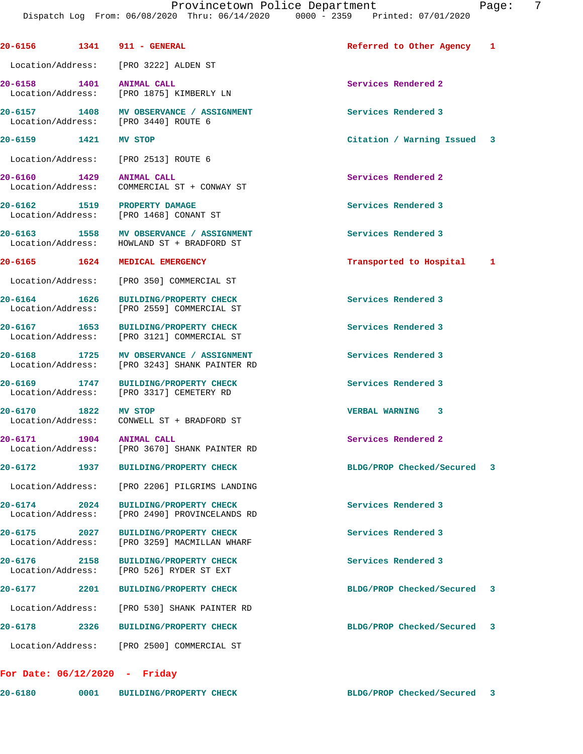**20-6156 1341 911 - GENERAL Referred to Other Agency 1** Location/Address: [PRO 3222] ALDEN ST **20-6158 1401 ANIMAL CALL Services Rendered 2**  Location/Address: [PRO 1875] KIMBERLY LN **20-6157 1408 MV OBSERVANCE / ASSIGNMENT Services Rendered 3**  Location/Address: [PRO 3440] ROUTE 6 **20-6159 1421 MV STOP Citation / Warning Issued 3** Location/Address: [PRO 2513] ROUTE 6 **20-6160 1429 ANIMAL CALL Services Rendered 2**  Location/Address: COMMERCIAL ST + CONWAY ST **20-6162 1519 PROPERTY DAMAGE Services Rendered 3**  Location/Address: [PRO 1468] CONANT ST **20-6163 1558 MV OBSERVANCE / ASSIGNMENT Services Rendered 3**  Location/Address: HOWLAND ST + BRADFORD ST **20-6165 1624 MEDICAL EMERGENCY Transported to Hospital 1** Location/Address: [PRO 350] COMMERCIAL ST **20-6164 1626 BUILDING/PROPERTY CHECK Services Rendered 3**  Location/Address: [PRO 2559] COMMERCIAL ST **20-6167 1653 BUILDING/PROPERTY CHECK Services Rendered 3**  Location/Address: [PRO 3121] COMMERCIAL ST 20-6168 1725 MV OBSERVANCE / ASSIGNMENT **Services Rendered 3**  Location/Address: [PRO 3243] SHANK PAINTER RD **20-6169 1747 BUILDING/PROPERTY CHECK Services Rendered 3**  Location/Address: [PRO 3317] CEMETERY RD **20-6170 1822 MV STOP VERBAL WARNING 3**  Location/Address: CONWELL ST + BRADFORD ST **20-6171 1904 ANIMAL CALL Services Rendered 2**  Location/Address: [PRO 3670] SHANK PAINTER RD **20-6172 1937 BUILDING/PROPERTY CHECK BLDG/PROP Checked/Secured 3** Location/Address: [PRO 2206] PILGRIMS LANDING **20-6174 2024 BUILDING/PROPERTY CHECK Services Rendered 3**  Location/Address: [PRO 2490] PROVINCELANDS RD **20-6175 2027 BUILDING/PROPERTY CHECK Services Rendered 3**  Location/Address: [PRO 3259] MACMILLAN WHARF **20-6176 2158 BUILDING/PROPERTY CHECK Services Rendered 3**  Location/Address: [PRO 526] RYDER ST EXT **20-6177 2201 BUILDING/PROPERTY CHECK BLDG/PROP Checked/Secured 3** Location/Address: [PRO 530] SHANK PAINTER RD **20-6178 2326 BUILDING/PROPERTY CHECK BLDG/PROP Checked/Secured 3** Location/Address: [PRO 2500] COMMERCIAL ST **For Date: 06/12/2020 - Friday**

**20-6180 0001 BUILDING/PROPERTY CHECK BLDG/PROP Checked/Secured 3**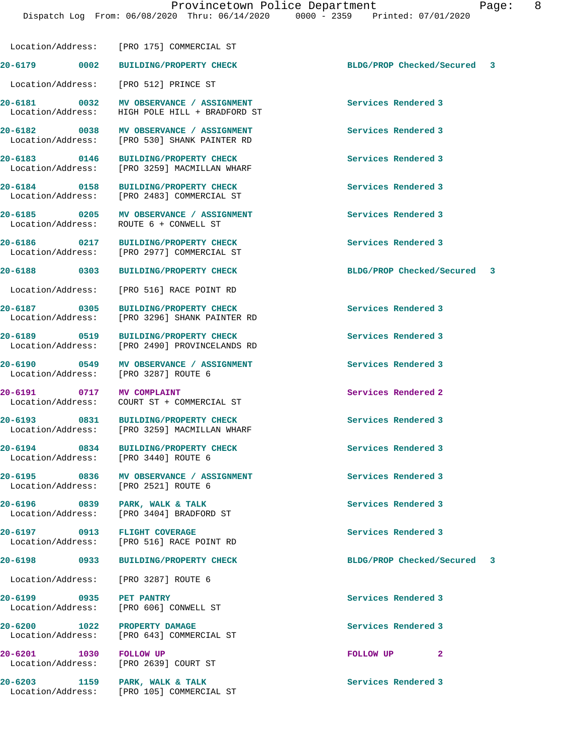**20-6179 0002 BUILDING/PROPERTY CHECK BLDG/PROP Checked/Secured 3** Location/Address: [PRO 512] PRINCE ST

Location/Address: [PRO 175] COMMERCIAL ST

Location/Address: [PRO 2977] COMMERCIAL ST

Location/Address:

**20-6181 0032 MV OBSERVANCE / ASSIGNMENT Services Rendered 3**  Location/Address: HIGH POLE HILL + BRADFORD ST

20-6182 **0038** MV OBSERVANCE / ASSIGNMENT Services Rendered 3 Location/Address: [PRO 530] SHANK PAINTER RD

**20-6183 0146 BUILDING/PROPERTY CHECK Services Rendered 3**  Location/Address: [PRO 3259] MACMILLAN WHARF

**20-6184 0158 BUILDING/PROPERTY CHECK Services Rendered 3**  Location/Address: [PRO 2483] COMMERCIAL ST

**20-6185 0205 MV OBSERVANCE / ASSIGNMENT Services Rendered 3**  Location/Address: ROUTE 6 + CONWELL ST

**20-6186 0217 BUILDING/PROPERTY CHECK Services Rendered 3** 

Location/Address: [PRO 516] RACE POINT RD

**20-6187 0305 BUILDING/PROPERTY CHECK Services Rendered 3**  Location/Address: [PRO 3296] SHANK PAINTER RD

**20-6189 0519 BUILDING/PROPERTY CHECK Services Rendered 3**  Location/Address: [PRO 2490] PROVINCELANDS RD

**20-6190 0549 MV OBSERVANCE / ASSIGNMENT Services Rendered 3**  Location/Address: [PRO 3287] ROUTE 6

**20-6191 0717 MV COMPLAINT Services Rendered 2**  Location/Address: COURT ST + COMMERCIAL ST

**20-6193 0831 BUILDING/PROPERTY CHECK Services Rendered 3**  Location/Address: [PRO 3259] MACMILLAN WHARF

**20-6194 0834 BUILDING/PROPERTY CHECK Services Rendered 3**  Location/Address: [PRO 3440] ROUTE 6

**20-6195 0836 MV OBSERVANCE / ASSIGNMENT Services Rendered 3**  Location/Address: [PRO 2521] ROUTE 6

**20-6196 0839 PARK, WALK & TALK Services Rendered 3**  Location/Address: [PRO 3404] BRADFORD ST

**20-6197 0913 FLIGHT COVERAGE Services Rendered 3**  Location/Address: [PRO 516] RACE POINT RD

Location/Address: [PRO 3287] ROUTE 6

**20-6199 0935 PET PANTRY Services Rendered 3**  Location/Address: [PRO 606] CONWELL ST

**20-6200 1022 PROPERTY DAMAGE Services Rendered 3**  Location/Address: [PRO 643] COMMERCIAL ST

**20-6201** 1030 **FOLLOW UP 2**<br> **2** Location/Address: [PRO 2639] COURT ST

20-6203 1159 PARK, WALK & TALK **Services Rendered 3** Location/Address: [PRO 105] COMMERCIAL ST

**20-6188 0303 BUILDING/PROPERTY CHECK BLDG/PROP Checked/Secured 3**

**20-6198 0933 BUILDING/PROPERTY CHECK BLDG/PROP Checked/Secured 3**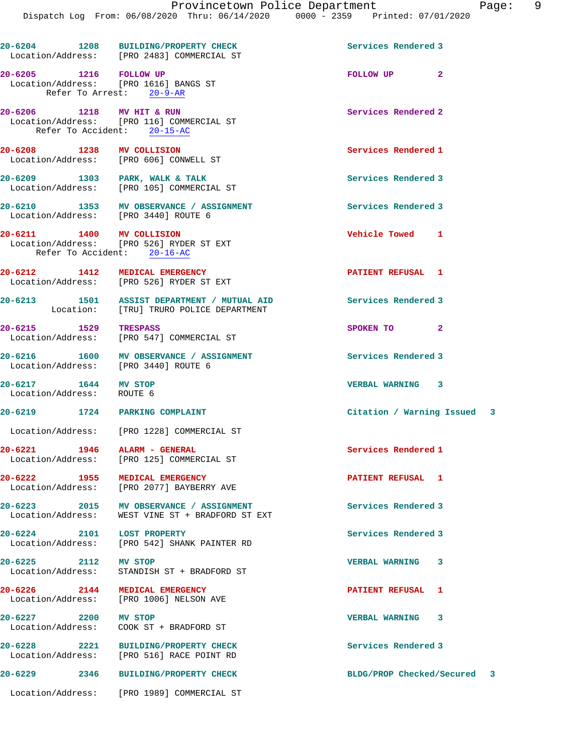|                                                   | 20-6204 1208 BUILDING/PROPERTY CHECK<br>Location/Address: [PRO 2483] COMMERCIAL ST          | Services Rendered 3         |   |  |
|---------------------------------------------------|---------------------------------------------------------------------------------------------|-----------------------------|---|--|
| 20-6205 1216 FOLLOW UP                            | Location/Address: [PRO 1616] BANGS ST<br>Refer To Arrest: 20-9-AR                           | FOLLOW UP <sub>2</sub>      |   |  |
| 20-6206 1218 MV HIT & RUN                         | Location/Address: [PRO 116] COMMERCIAL ST<br>Refer To Accident: 20-15-AC                    | Services Rendered 2         |   |  |
| 20-6208 1238 MV COLLISION                         | Location/Address: [PRO 606] CONWELL ST                                                      | Services Rendered 1         |   |  |
|                                                   | 20-6209 1303 PARK, WALK & TALK<br>Location/Address: [PRO 105] COMMERCIAL ST                 | Services Rendered 3         |   |  |
|                                                   | 20-6210 1353 MV OBSERVANCE / ASSIGNMENT<br>Location/Address: [PRO 3440] ROUTE 6             | Services Rendered 3         |   |  |
| 20-6211 1400 MV COLLISION                         | Location/Address: [PRO 526] RYDER ST EXT<br>Refer To Accident: 20-16-AC                     | Vehicle Towed 1             |   |  |
|                                                   | 20-6212 1412 MEDICAL EMERGENCY<br>Location/Address: [PRO 526] RYDER ST EXT                  | PATIENT REFUSAL 1           |   |  |
|                                                   | 20-6213 1501 ASSIST DEPARTMENT / MUTUAL AID<br>Location: [TRU] TRURO POLICE DEPARTMENT      | Services Rendered 3         |   |  |
| 20-6215 1529 TRESPASS                             | Location/Address: [PRO 547] COMMERCIAL ST                                                   | SPOKEN TO 2                 |   |  |
|                                                   | 20-6216 1600 MV OBSERVANCE / ASSIGNMENT<br>Location/Address: [PRO 3440] ROUTE 6             | Services Rendered 3         |   |  |
| 20-6217 1644 MV STOP<br>Location/Address: ROUTE 6 |                                                                                             | VERBAL WARNING 3            |   |  |
|                                                   | 20-6219 1724 PARKING COMPLAINT                                                              | Citation / Warning Issued 3 |   |  |
|                                                   | Location/Address: [PRO 1228] COMMERCIAL ST                                                  |                             |   |  |
| 20-6221 1946                                      | ALARM - GENERAL<br>Location/Address: [PRO 125] COMMERCIAL ST                                | Services Rendered 1         |   |  |
| 20-6222 1955                                      | <b>MEDICAL EMERGENCY</b><br>Location/Address: [PRO 2077] BAYBERRY AVE                       | PATIENT REFUSAL 1           |   |  |
|                                                   | 20-6223 2015 MV OBSERVANCE / ASSIGNMENT<br>Location/Address: WEST VINE ST + BRADFORD ST EXT | Services Rendered 3         |   |  |
| 20-6224 2101 LOST PROPERTY                        | Location/Address: [PRO 542] SHANK PAINTER RD                                                | Services Rendered 3         |   |  |
| 20-6225 2112 MV STOP<br>Location/Address:         | STANDISH ST + BRADFORD ST                                                                   | <b>VERBAL WARNING</b>       | 3 |  |
|                                                   | 20-6226 2144 MEDICAL EMERGENCY<br>Location/Address: [PRO 1006] NELSON AVE                   | PATIENT REFUSAL 1           |   |  |
| 20-6227 2200 MV STOP<br>Location/Address:         | COOK ST + BRADFORD ST                                                                       | <b>VERBAL WARNING</b>       | 3 |  |
|                                                   | 20-6228 2221 BUILDING/PROPERTY CHECK<br>Location/Address: [PRO 516] RACE POINT RD           | Services Rendered 3         |   |  |
|                                                   | 20-6229 2346 BUILDING/PROPERTY CHECK                                                        | BLDG/PROP Checked/Secured 3 |   |  |
|                                                   | Location/Address: [PRO 1989] COMMERCIAL ST                                                  |                             |   |  |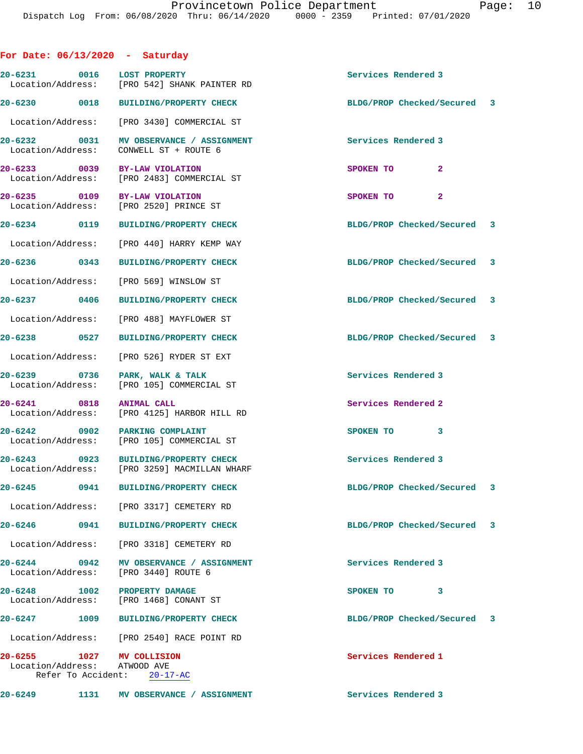| For Date: $06/13/2020$ - Saturday                                               |      |                                                                                      |                             |                          |  |
|---------------------------------------------------------------------------------|------|--------------------------------------------------------------------------------------|-----------------------------|--------------------------|--|
| 20-6231 0016 LOST PROPERTY                                                      |      | Location/Address: [PRO 542] SHANK PAINTER RD                                         | Services Rendered 3         |                          |  |
|                                                                                 |      | 20-6230 0018 BUILDING/PROPERTY CHECK                                                 | BLDG/PROP Checked/Secured 3 |                          |  |
|                                                                                 |      | Location/Address: [PRO 3430] COMMERCIAL ST                                           |                             |                          |  |
| Location/Address:                                                               |      | 20-6232 0031 MV OBSERVANCE / ASSIGNMENT<br>CONWELL ST + ROUTE 6                      | Services Rendered 3         |                          |  |
|                                                                                 |      | 20-6233 0039 BY-LAW VIOLATION<br>Location/Address: [PRO 2483] COMMERCIAL ST          | SPOKEN TO                   | $\mathbf{2}$             |  |
|                                                                                 |      | 20-6235 0109 BY-LAW VIOLATION<br>Location/Address: [PRO 2520] PRINCE ST              | SPOKEN TO 2                 |                          |  |
| 20-6234 0119                                                                    |      | BUILDING/PROPERTY CHECK                                                              | BLDG/PROP Checked/Secured 3 |                          |  |
|                                                                                 |      | Location/Address: [PRO 440] HARRY KEMP WAY                                           |                             |                          |  |
| 20-6236 0343                                                                    |      | <b>BUILDING/PROPERTY CHECK</b>                                                       | BLDG/PROP Checked/Secured 3 |                          |  |
|                                                                                 |      | Location/Address: [PRO 569] WINSLOW ST                                               |                             |                          |  |
| 20-6237 0406                                                                    |      | <b>BUILDING/PROPERTY CHECK</b>                                                       | BLDG/PROP Checked/Secured 3 |                          |  |
|                                                                                 |      | Location/Address: [PRO 488] MAYFLOWER ST                                             |                             |                          |  |
| 20-6238 0527                                                                    |      | <b>BUILDING/PROPERTY CHECK</b>                                                       | BLDG/PROP Checked/Secured 3 |                          |  |
| Location/Address:                                                               |      | [PRO 526] RYDER ST EXT                                                               |                             |                          |  |
| 20-6239 0736<br>Location/Address:                                               |      | PARK, WALK & TALK<br>[PRO 105] COMMERCIAL ST                                         | Services Rendered 3         |                          |  |
| 20-6241 0818<br>Location/Address:                                               |      | <b>ANIMAL CALL</b><br>[PRO 4125] HARBOR HILL RD                                      | Services Rendered 2         |                          |  |
|                                                                                 |      | 20-6242 0902 PARKING COMPLAINT<br>Location/Address: [PRO 105] COMMERCIAL ST          | SPOKEN TO                   | 3                        |  |
|                                                                                 |      | 20-6243 0923 BUILDING/PROPERTY CHECK<br>Location/Address: [PRO 3259] MACMILLAN WHARF | Services Rendered 3         |                          |  |
| 20-6245                                                                         | 0941 | <b>BUILDING/PROPERTY CHECK</b>                                                       | BLDG/PROP Checked/Secured 3 |                          |  |
|                                                                                 |      | Location/Address: [PRO 3317] CEMETERY RD                                             |                             |                          |  |
| 20-6246                                                                         | 0941 | <b>BUILDING/PROPERTY CHECK</b>                                                       | BLDG/PROP Checked/Secured 3 |                          |  |
| Location/Address:                                                               |      | [PRO 3318] CEMETERY RD                                                               |                             |                          |  |
| 20-6244 0942<br>Location/Address:                                               |      | MV OBSERVANCE / ASSIGNMENT<br>[PRO 3440] ROUTE 6                                     | Services Rendered 3         |                          |  |
| 20-6248<br>Location/Address:                                                    | 1002 | PROPERTY DAMAGE<br>[PRO 1468] CONANT ST                                              | SPOKEN TO                   | 3                        |  |
| 20-6247                                                                         | 1009 | <b>BUILDING/PROPERTY CHECK</b>                                                       | BLDG/PROP Checked/Secured   | $\overline{\phantom{a}}$ |  |
|                                                                                 |      | Location/Address: [PRO 2540] RACE POINT RD                                           |                             |                          |  |
| 20-6255 1027 MV COLLISION<br>Location/Address: ATWOOD AVE<br>Refer To Accident: |      | $20 - 17 - AC$                                                                       | Services Rendered 1         |                          |  |
| 20-6249                                                                         | 1131 | MV OBSERVANCE / ASSIGNMENT                                                           | Services Rendered 3         |                          |  |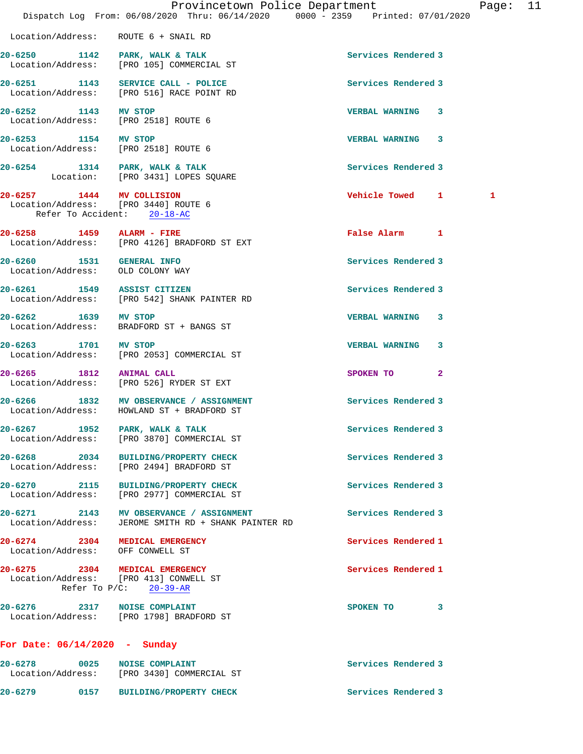|                                                                                                  | Dispatch Log From: 06/08/2020 Thru: 06/14/2020 0000 - 2359 Printed: 07/01/2020        | Provincetown Police Department | Pag |
|--------------------------------------------------------------------------------------------------|---------------------------------------------------------------------------------------|--------------------------------|-----|
| Location/Address: ROUTE 6 + SNAIL RD                                                             |                                                                                       |                                |     |
|                                                                                                  | 20-6250 1142 PARK, WALK & TALK<br>Location/Address: [PRO 105] COMMERCIAL ST           | Services Rendered 3            |     |
|                                                                                                  | 20-6251 1143 SERVICE CALL - POLICE<br>Location/Address: [PRO 516] RACE POINT RD       | Services Rendered 3            |     |
| 20-6252 1143 MV STOP<br>Location/Address: [PRO 2518] ROUTE 6                                     |                                                                                       | <b>VERBAL WARNING</b><br>3     |     |
| 20-6253 1154 MV STOP<br>Location/Address: [PRO 2518] ROUTE 6                                     |                                                                                       | <b>VERBAL WARNING 3</b>        |     |
|                                                                                                  | 20-6254 1314 PARK, WALK & TALK<br>Location: [PRO 3431] LOPES SQUARE                   | Services Rendered 3            |     |
| 20-6257 1444 MV COLLISION<br>Location/Address: [PRO 3440] ROUTE 6<br>Refer To Accident: 20-18-AC |                                                                                       | Vehicle Towed 1                | 1   |
| 20-6258 1459 ALARM - FIRE                                                                        | Location/Address: [PRO 4126] BRADFORD ST EXT                                          | <b>False Alarm</b><br>1        |     |
| 20-6260 1531 GENERAL INFO<br>Location/Address: OLD COLONY WAY                                    |                                                                                       | Services Rendered 3            |     |
|                                                                                                  | 20-6261 1549 ASSIST CITIZEN<br>Location/Address: [PRO 542] SHANK PAINTER RD           | Services Rendered 3            |     |
|                                                                                                  | 20-6262 1639 MV STOP<br>Location/Address: BRADFORD ST + BANGS ST                      | <b>VERBAL WARNING</b><br>3     |     |
|                                                                                                  | 20-6263 1701 MV STOP<br>Location/Address: [PRO 2053] COMMERCIAL ST                    | 3<br><b>VERBAL WARNING</b>     |     |
| 20-6265 1812 ANIMAL CALL                                                                         | Location/Address: [PRO 526] RYDER ST EXT                                              | 2<br>SPOKEN TO                 |     |
|                                                                                                  | 20-6266 1832 MV OBSERVANCE / ASSIGNMENT<br>Location/Address: HOWLAND ST + BRADFORD ST | <b>Services Rendered 3</b>     |     |
| 20-6267 1952 PARK, WALK & TALK                                                                   | Location/Address: [PRO 3870] COMMERCIAL ST                                            | Services Rendered 3            |     |
|                                                                                                  | 20-6268 2034 BUILDING/PROPERTY CHECK<br>Location/Address: [PRO 2494] BRADFORD ST      | Services Rendered 3            |     |
|                                                                                                  | 20-6270 2115 BUILDING/PROPERTY CHECK<br>Location/Address: [PRO 2977] COMMERCIAL ST    | Services Rendered 3            |     |
| Location/Address:                                                                                | 20-6271 2143 MV OBSERVANCE / ASSIGNMENT<br>JEROME SMITH RD + SHANK PAINTER RD         | Services Rendered 3            |     |
| 20-6274 2304 MEDICAL EMERGENCY<br>Location/Address: OFF CONWELL ST                               |                                                                                       | Services Rendered 1            |     |
| 20-6275 2304 MEDICAL EMERGENCY<br>Location/Address: [PRO 413] CONWELL ST                         | Refer To $P/C$ : 20-39-AR                                                             | Services Rendered 1            |     |
| 20-6276 2317 NOISE COMPLAINT                                                                     | Location/Address: [PRO 1798] BRADFORD ST                                              | 3<br>SPOKEN TO                 |     |
| For Date: $06/14/2020$ - Sunday                                                                  |                                                                                       |                                |     |
| 20-6278                                                                                          | 0025 NOISE COMPLAINT                                                                  | Services Rendered 3            |     |

**20-6279 0157 BUILDING/PROPERTY CHECK Services Rendered 3** 

Location/Address: [PRO 3430] COMMERCIAL ST

Page: 11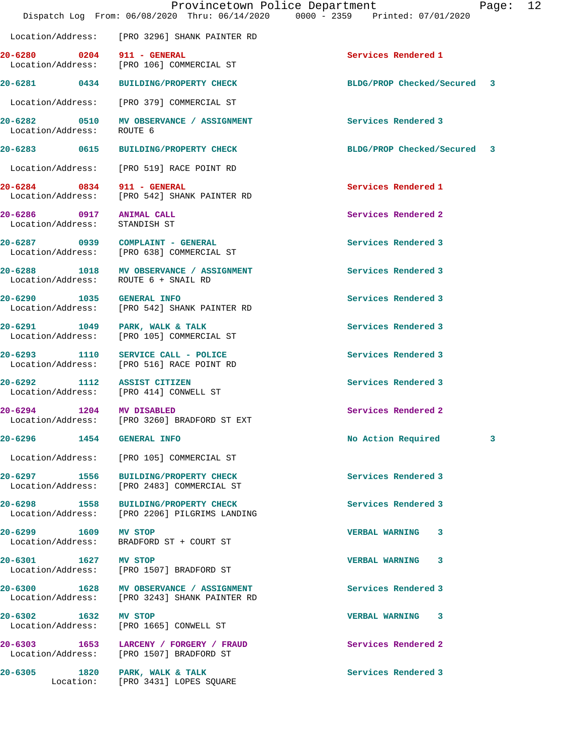**20-6281 0434 BUILDING/PROPERTY CHECK BLDG/PROP Checked/Secured 3**

20-6280 0204 911 - GENERAL Services Rendered 1

Location/Address: [PRO 3296] SHANK PAINTER RD

Location/Address: [PRO 106] COMMERCIAL ST

 Location/Address: [PRO 379] COMMERCIAL ST **20-6282 0510 MV OBSERVANCE / ASSIGNMENT Services Rendered 3**  Location/Address: ROUTE 6 **20-6283 0615 BUILDING/PROPERTY CHECK BLDG/PROP Checked/Secured 3** Location/Address: [PRO 519] RACE POINT RD **20-6284 0834 911 - GENERAL Services Rendered 1**  Location/Address: [PRO 542] SHANK PAINTER RD **20-6286 0917 ANIMAL CALL Services Rendered 2**  Location/Address: STANDISH ST **20-6287 0939 COMPLAINT - GENERAL Services Rendered 3**  Location/Address: [PRO 638] COMMERCIAL ST **20-6288 1018 MV OBSERVANCE / ASSIGNMENT Services Rendered 3**  Location/Address: ROUTE 6 + SNAIL RD **20-6290 1035 GENERAL INFO Services Rendered 3**  Location/Address: [PRO 542] SHANK PAINTER RD 20-6291 1049 PARK, WALK & TALK **Services Rendered 3**  Location/Address: [PRO 105] COMMERCIAL ST **20-6293 1110 SERVICE CALL - POLICE Services Rendered 3**  Location/Address: [PRO 516] RACE POINT RD 20-6292 1112 ASSIST CITIZEN **Services Rendered 3**<br>
Location/Address: [PRO 414] CONWELL ST [PRO 414] CONWELL ST **20-6294 1204 MV DISABLED Services Rendered 2**  Location/Address: [PRO 3260] BRADFORD ST EXT **20-6296 1454 GENERAL INFO No Action Required 3** Location/Address: [PRO 105] COMMERCIAL ST **20-6297 1556 BUILDING/PROPERTY CHECK Services Rendered 3**  Location/Address: [PRO 2483] COMMERCIAL ST **20-6298 1558 BUILDING/PROPERTY CHECK Services Rendered 3**  Location/Address: [PRO 2206] PILGRIMS LANDING **20-6299 1609 MV STOP VERBAL WARNING 3**  Location/Address: BRADFORD ST + COURT ST **20-6301 1627 MV STOP VERBAL WARNING 3**  Location/Address: [PRO 1507] BRADFORD ST 20-6300 1628 MV OBSERVANCE / ASSIGNMENT **Services Rendered 3** <br>
Location/Address: [PRO 3243] SHANK PAINTER RD [PRO 3243] SHANK PAINTER RD **20-6302 1632 MV STOP VERBAL WARNING 3**  [PRO 1665] CONWELL ST **20-6303 1653 LARCENY / FORGERY / FRAUD Services Rendered 2**  Location/Address: [PRO 1507] BRADFORD ST **20-6305 1820 PARK, WALK & TALK Services Rendered 3**  Location: [PRO 3431] LOPES SQUARE